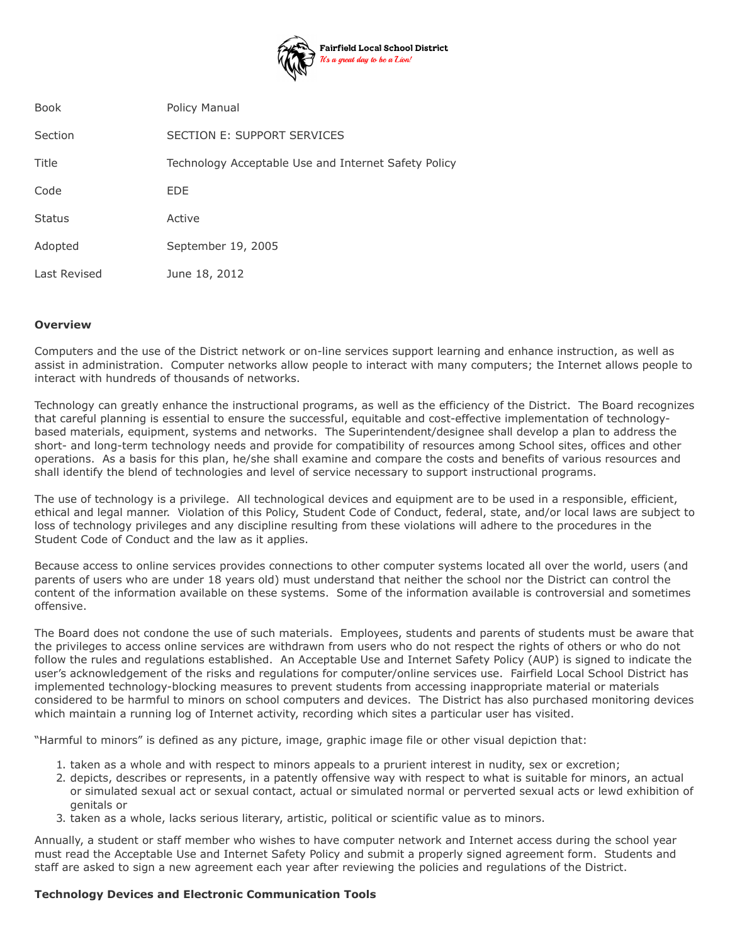

| <b>Book</b>   | <b>Policy Manual</b>                                 |
|---------------|------------------------------------------------------|
| Section       | SECTION E: SUPPORT SERVICES                          |
| Title         | Technology Acceptable Use and Internet Safety Policy |
| Code          | <b>EDE</b>                                           |
| <b>Status</b> | Active                                               |
| Adopted       | September 19, 2005                                   |
| Last Revised  | June 18, 2012                                        |

## **Overview**

Computers and the use of the District network or on-line services support learning and enhance instruction, as well as assist in administration. Computer networks allow people to interact with many computers; the Internet allows people to interact with hundreds of thousands of networks.

Technology can greatly enhance the instructional programs, as well as the efficiency of the District. The Board recognizes that careful planning is essential to ensure the successful, equitable and cost-effective implementation of technologybased materials, equipment, systems and networks. The Superintendent/designee shall develop a plan to address the short- and long-term technology needs and provide for compatibility of resources among School sites, offices and other operations. As a basis for this plan, he/she shall examine and compare the costs and benefits of various resources and shall identify the blend of technologies and level of service necessary to support instructional programs.

The use of technology is a privilege. All technological devices and equipment are to be used in a responsible, efficient, ethical and legal manner. Violation of this Policy, Student Code of Conduct, federal, state, and/or local laws are subject to loss of technology privileges and any discipline resulting from these violations will adhere to the procedures in the Student Code of Conduct and the law as it applies.

Because access to online services provides connections to other computer systems located all over the world, users (and parents of users who are under 18 years old) must understand that neither the school nor the District can control the content of the information available on these systems. Some of the information available is controversial and sometimes offensive.

The Board does not condone the use of such materials. Employees, students and parents of students must be aware that the privileges to access online services are withdrawn from users who do not respect the rights of others or who do not follow the rules and regulations established. An Acceptable Use and Internet Safety Policy (AUP) is signed to indicate the user's acknowledgement of the risks and regulations for computer/online services use. Fairfield Local School District has implemented technology-blocking measures to prevent students from accessing inappropriate material or materials considered to be harmful to minors on school computers and devices. The District has also purchased monitoring devices which maintain a running log of Internet activity, recording which sites a particular user has visited.

"Harmful to minors" is defined as any picture, image, graphic image file or other visual depiction that:

- 1. taken as a whole and with respect to minors appeals to a prurient interest in nudity, sex or excretion;
- 2. depicts, describes or represents, in a patently offensive way with respect to what is suitable for minors, an actual or simulated sexual act or sexual contact, actual or simulated normal or perverted sexual acts or lewd exhibition of genitals or
- 3. taken as a whole, lacks serious literary, artistic, political or scientific value as to minors.

Annually, a student or staff member who wishes to have computer network and Internet access during the school year must read the Acceptable Use and Internet Safety Policy and submit a properly signed agreement form. Students and staff are asked to sign a new agreement each year after reviewing the policies and regulations of the District.

#### **Technology Devices and Electronic Communication Tools**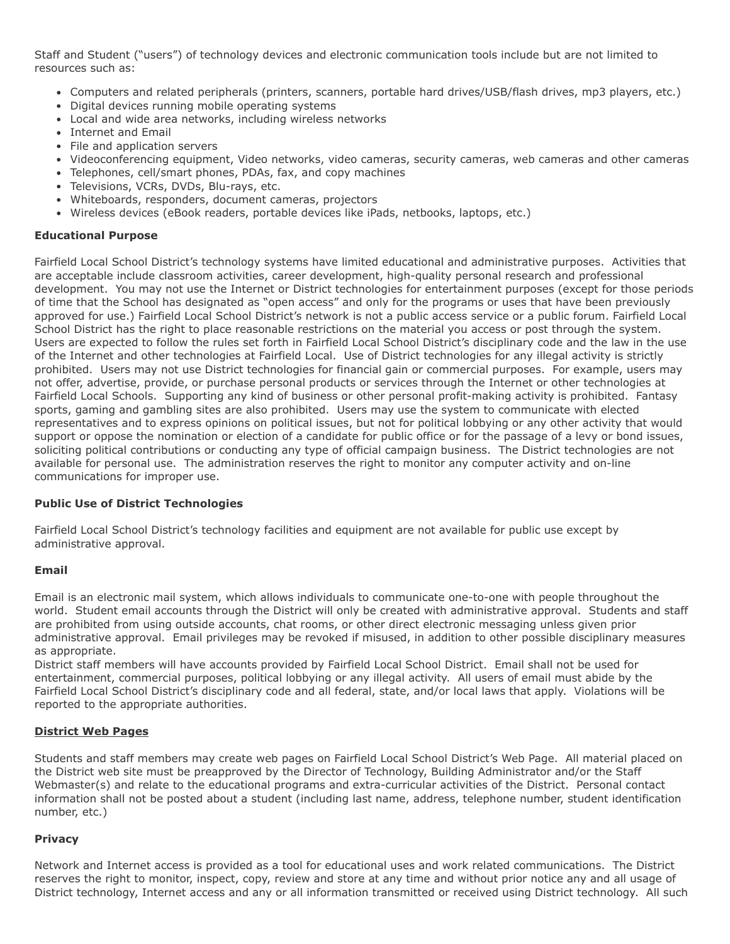Staff and Student ("users") of technology devices and electronic communication tools include but are not limited to resources such as:

- Computers and related peripherals (printers, scanners, portable hard drives/USB/flash drives, mp3 players, etc.)
- Digital devices running mobile operating systems
- Local and wide area networks, including wireless networks
- Internet and Email
- File and application servers
- Videoconferencing equipment, Video networks, video cameras, security cameras, web cameras and other cameras
- Telephones, cell/smart phones, PDAs, fax, and copy machines
- Televisions, VCRs, DVDs, Blu-rays, etc.
- Whiteboards, responders, document cameras, projectors
- Wireless devices (eBook readers, portable devices like iPads, netbooks, laptops, etc.)

## **Educational Purpose**

Fairfield Local School District's technology systems have limited educational and administrative purposes. Activities that are acceptable include classroom activities, career development, high-quality personal research and professional development. You may not use the Internet or District technologies for entertainment purposes (except for those periods of time that the School has designated as "open access" and only for the programs or uses that have been previously approved for use.) Fairfield Local School District's network is not a public access service or a public forum. Fairfield Local School District has the right to place reasonable restrictions on the material you access or post through the system. Users are expected to follow the rules set forth in Fairfield Local School District's disciplinary code and the law in the use of the Internet and other technologies at Fairfield Local. Use of District technologies for any illegal activity is strictly prohibited. Users may not use District technologies for financial gain or commercial purposes. For example, users may not offer, advertise, provide, or purchase personal products or services through the Internet or other technologies at Fairfield Local Schools. Supporting any kind of business or other personal profit-making activity is prohibited. Fantasy sports, gaming and gambling sites are also prohibited. Users may use the system to communicate with elected representatives and to express opinions on political issues, but not for political lobbying or any other activity that would support or oppose the nomination or election of a candidate for public office or for the passage of a levy or bond issues, soliciting political contributions or conducting any type of official campaign business. The District technologies are not available for personal use. The administration reserves the right to monitor any computer activity and on-line communications for improper use.

## **Public Use of District Technologies**

Fairfield Local School District's technology facilities and equipment are not available for public use except by administrative approval.

## **Email**

Email is an electronic mail system, which allows individuals to communicate one-to-one with people throughout the world. Student email accounts through the District will only be created with administrative approval. Students and staff are prohibited from using outside accounts, chat rooms, or other direct electronic messaging unless given prior administrative approval. Email privileges may be revoked if misused, in addition to other possible disciplinary measures as appropriate.

District staff members will have accounts provided by Fairfield Local School District. Email shall not be used for entertainment, commercial purposes, political lobbying or any illegal activity. All users of email must abide by the Fairfield Local School District's disciplinary code and all federal, state, and/or local laws that apply. Violations will be reported to the appropriate authorities.

## **District Web Pages**

Students and staff members may create web pages on Fairfield Local School District's Web Page. All material placed on the District web site must be preapproved by the Director of Technology, Building Administrator and/or the Staff Webmaster(s) and relate to the educational programs and extra-curricular activities of the District. Personal contact information shall not be posted about a student (including last name, address, telephone number, student identification number, etc.)

## **Privacy**

Network and Internet access is provided as a tool for educational uses and work related communications. The District reserves the right to monitor, inspect, copy, review and store at any time and without prior notice any and all usage of District technology, Internet access and any or all information transmitted or received using District technology. All such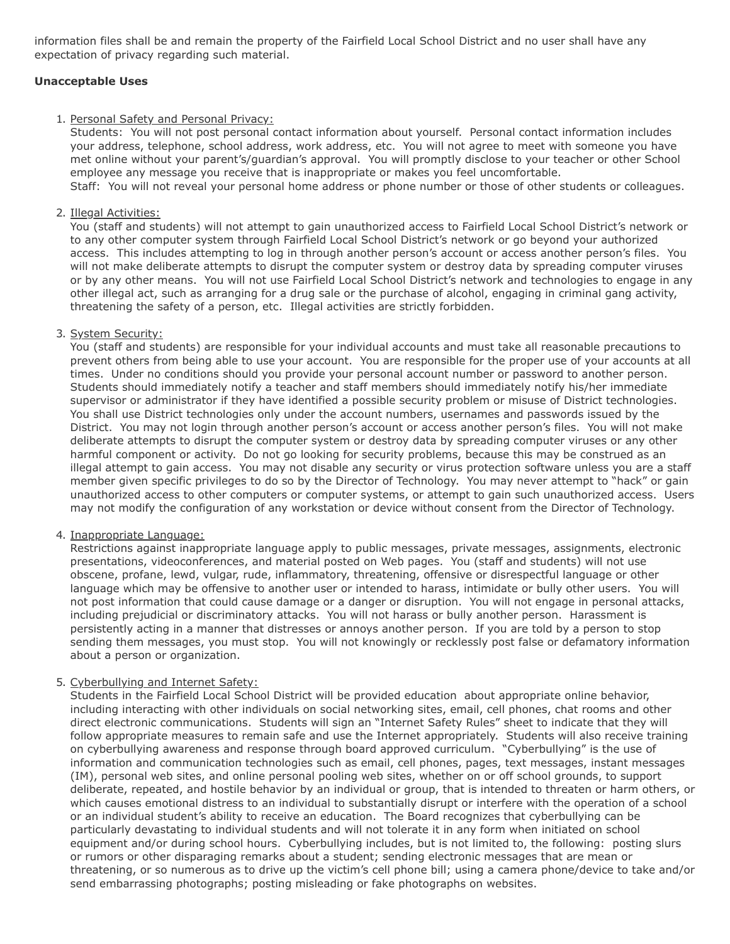information files shall be and remain the property of the Fairfield Local School District and no user shall have any expectation of privacy regarding such material.

## **Unacceptable Uses**

### 1. Personal Safety and Personal Privacy:

Students: You will not post personal contact information about yourself. Personal contact information includes your address, telephone, school address, work address, etc. You will not agree to meet with someone you have met online without your parent's/guardian's approval. You will promptly disclose to your teacher or other School employee any message you receive that is inappropriate or makes you feel uncomfortable. Staff: You will not reveal your personal home address or phone number or those of other students or colleagues.

### 2. Illegal Activities:

You (staff and students) will not attempt to gain unauthorized access to Fairfield Local School District's network or to any other computer system through Fairfield Local School District's network or go beyond your authorized access. This includes attempting to log in through another person's account or access another person's files. You will not make deliberate attempts to disrupt the computer system or destroy data by spreading computer viruses or by any other means. You will not use Fairfield Local School District's network and technologies to engage in any other illegal act, such as arranging for a drug sale or the purchase of alcohol, engaging in criminal gang activity, threatening the safety of a person, etc. Illegal activities are strictly forbidden.

## 3. System Security:

You (staff and students) are responsible for your individual accounts and must take all reasonable precautions to prevent others from being able to use your account. You are responsible for the proper use of your accounts at all times. Under no conditions should you provide your personal account number or password to another person. Students should immediately notify a teacher and staff members should immediately notify his/her immediate supervisor or administrator if they have identified a possible security problem or misuse of District technologies. You shall use District technologies only under the account numbers, usernames and passwords issued by the District. You may not login through another person's account or access another person's files. You will not make deliberate attempts to disrupt the computer system or destroy data by spreading computer viruses or any other harmful component or activity. Do not go looking for security problems, because this may be construed as an illegal attempt to gain access. You may not disable any security or virus protection software unless you are a staff member given specific privileges to do so by the Director of Technology. You may never attempt to "hack" or gain unauthorized access to other computers or computer systems, or attempt to gain such unauthorized access. Users may not modify the configuration of any workstation or device without consent from the Director of Technology.

## 4. Inappropriate Language:

Restrictions against inappropriate language apply to public messages, private messages, assignments, electronic presentations, videoconferences, and material posted on Web pages. You (staff and students) will not use obscene, profane, lewd, vulgar, rude, inflammatory, threatening, offensive or disrespectful language or other language which may be offensive to another user or intended to harass, intimidate or bully other users. You will not post information that could cause damage or a danger or disruption. You will not engage in personal attacks, including prejudicial or discriminatory attacks. You will not harass or bully another person. Harassment is persistently acting in a manner that distresses or annoys another person. If you are told by a person to stop sending them messages, you must stop. You will not knowingly or recklessly post false or defamatory information about a person or organization.

## 5. Cyberbullying and Internet Safety:

Students in the Fairfield Local School District will be provided education about appropriate online behavior, including interacting with other individuals on social networking sites, email, cell phones, chat rooms and other direct electronic communications. Students will sign an "Internet Safety Rules" sheet to indicate that they will follow appropriate measures to remain safe and use the Internet appropriately. Students will also receive training on cyberbullying awareness and response through board approved curriculum. "Cyberbullying" is the use of information and communication technologies such as email, cell phones, pages, text messages, instant messages (IM), personal web sites, and online personal pooling web sites, whether on or off school grounds, to support deliberate, repeated, and hostile behavior by an individual or group, that is intended to threaten or harm others, or which causes emotional distress to an individual to substantially disrupt or interfere with the operation of a school or an individual student's ability to receive an education. The Board recognizes that cyberbullying can be particularly devastating to individual students and will not tolerate it in any form when initiated on school equipment and/or during school hours. Cyberbullying includes, but is not limited to, the following: posting slurs or rumors or other disparaging remarks about a student; sending electronic messages that are mean or threatening, or so numerous as to drive up the victim's cell phone bill; using a camera phone/device to take and/or send embarrassing photographs; posting misleading or fake photographs on websites.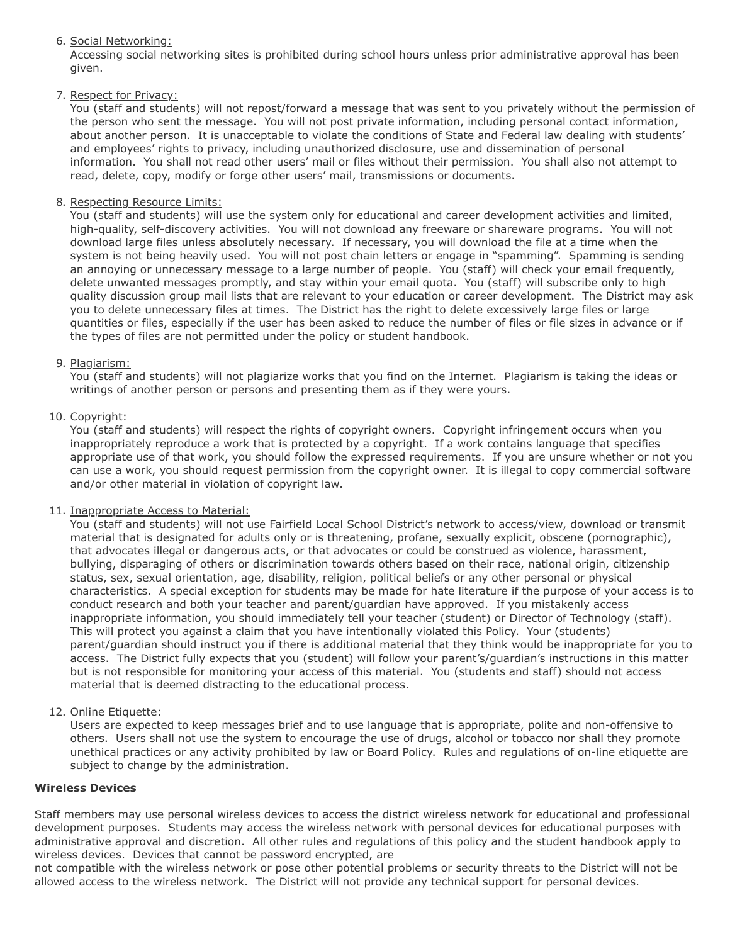# 6. Social Networking:

Accessing social networking sites is prohibited during school hours unless prior administrative approval has been given.

# 7. Respect for Privacy:

You (staff and students) will not repost/forward a message that was sent to you privately without the permission of the person who sent the message. You will not post private information, including personal contact information, about another person. It is unacceptable to violate the conditions of State and Federal law dealing with students' and employees' rights to privacy, including unauthorized disclosure, use and dissemination of personal information. You shall not read other users' mail or files without their permission. You shall also not attempt to read, delete, copy, modify or forge other users' mail, transmissions or documents.

# 8. Respecting Resource Limits:

You (staff and students) will use the system only for educational and career development activities and limited, high-quality, self-discovery activities. You will not download any freeware or shareware programs. You will not download large files unless absolutely necessary. If necessary, you will download the file at a time when the system is not being heavily used. You will not post chain letters or engage in "spamming". Spamming is sending an annoying or unnecessary message to a large number of people. You (staff) will check your email frequently, delete unwanted messages promptly, and stay within your email quota. You (staff) will subscribe only to high quality discussion group mail lists that are relevant to your education or career development. The District may ask you to delete unnecessary files at times. The District has the right to delete excessively large files or large quantities or files, especially if the user has been asked to reduce the number of files or file sizes in advance or if the types of files are not permitted under the policy or student handbook.

# 9. Plagiarism:

You (staff and students) will not plagiarize works that you find on the Internet. Plagiarism is taking the ideas or writings of another person or persons and presenting them as if they were yours.

# 10. Copyright:

You (staff and students) will respect the rights of copyright owners. Copyright infringement occurs when you inappropriately reproduce a work that is protected by a copyright. If a work contains language that specifies appropriate use of that work, you should follow the expressed requirements. If you are unsure whether or not you can use a work, you should request permission from the copyright owner. It is illegal to copy commercial software and/or other material in violation of copyright law.

## 11. Inappropriate Access to Material:

You (staff and students) will not use Fairfield Local School District's network to access/view, download or transmit material that is designated for adults only or is threatening, profane, sexually explicit, obscene (pornographic), that advocates illegal or dangerous acts, or that advocates or could be construed as violence, harassment, bullying, disparaging of others or discrimination towards others based on their race, national origin, citizenship status, sex, sexual orientation, age, disability, religion, political beliefs or any other personal or physical characteristics. A special exception for students may be made for hate literature if the purpose of your access is to conduct research and both your teacher and parent/guardian have approved. If you mistakenly access inappropriate information, you should immediately tell your teacher (student) or Director of Technology (staff). This will protect you against a claim that you have intentionally violated this Policy. Your (students) parent/guardian should instruct you if there is additional material that they think would be inappropriate for you to access. The District fully expects that you (student) will follow your parent's/guardian's instructions in this matter but is not responsible for monitoring your access of this material. You (students and staff) should not access material that is deemed distracting to the educational process.

# 12. Online Etiquette:

Users are expected to keep messages brief and to use language that is appropriate, polite and non-offensive to others. Users shall not use the system to encourage the use of drugs, alcohol or tobacco nor shall they promote unethical practices or any activity prohibited by law or Board Policy. Rules and regulations of on-line etiquette are subject to change by the administration.

# **Wireless Devices**

Staff members may use personal wireless devices to access the district wireless network for educational and professional development purposes. Students may access the wireless network with personal devices for educational purposes with administrative approval and discretion. All other rules and regulations of this policy and the student handbook apply to wireless devices. Devices that cannot be password encrypted, are

not compatible with the wireless network or pose other potential problems or security threats to the District will not be allowed access to the wireless network. The District will not provide any technical support for personal devices.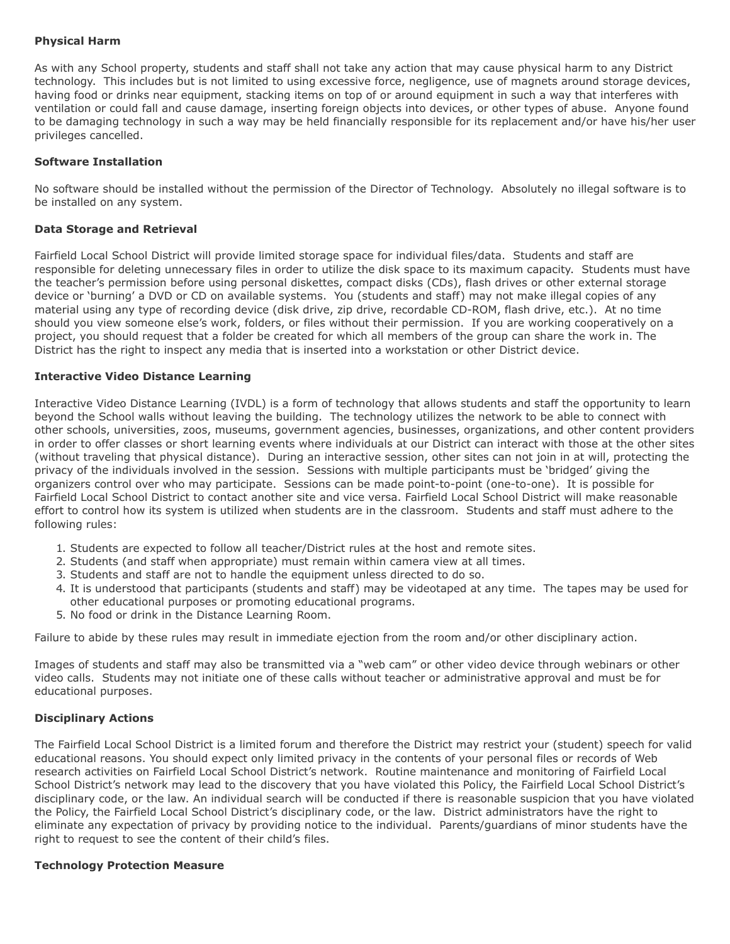# **Physical Harm**

As with any School property, students and staff shall not take any action that may cause physical harm to any District technology. This includes but is not limited to using excessive force, negligence, use of magnets around storage devices, having food or drinks near equipment, stacking items on top of or around equipment in such a way that interferes with ventilation or could fall and cause damage, inserting foreign objects into devices, or other types of abuse. Anyone found to be damaging technology in such a way may be held financially responsible for its replacement and/or have his/her user privileges cancelled.

### **Software Installation**

No software should be installed without the permission of the Director of Technology. Absolutely no illegal software is to be installed on any system.

### **Data Storage and Retrieval**

Fairfield Local School District will provide limited storage space for individual files/data. Students and staff are responsible for deleting unnecessary files in order to utilize the disk space to its maximum capacity. Students must have the teacher's permission before using personal diskettes, compact disks (CDs), flash drives or other external storage device or 'burning' a DVD or CD on available systems. You (students and staff) may not make illegal copies of any material using any type of recording device (disk drive, zip drive, recordable CD-ROM, flash drive, etc.). At no time should you view someone else's work, folders, or files without their permission. If you are working cooperatively on a project, you should request that a folder be created for which all members of the group can share the work in. The District has the right to inspect any media that is inserted into a workstation or other District device.

#### **Interactive Video Distance Learning**

Interactive Video Distance Learning (IVDL) is a form of technology that allows students and staff the opportunity to learn beyond the School walls without leaving the building. The technology utilizes the network to be able to connect with other schools, universities, zoos, museums, government agencies, businesses, organizations, and other content providers in order to offer classes or short learning events where individuals at our District can interact with those at the other sites (without traveling that physical distance). During an interactive session, other sites can not join in at will, protecting the privacy of the individuals involved in the session. Sessions with multiple participants must be 'bridged' giving the organizers control over who may participate. Sessions can be made point-to-point (one-to-one). It is possible for Fairfield Local School District to contact another site and vice versa. Fairfield Local School District will make reasonable effort to control how its system is utilized when students are in the classroom. Students and staff must adhere to the following rules:

- 1. Students are expected to follow all teacher/District rules at the host and remote sites.
- 2. Students (and staff when appropriate) must remain within camera view at all times.
- 3. Students and staff are not to handle the equipment unless directed to do so.
- 4. It is understood that participants (students and staff) may be videotaped at any time. The tapes may be used for other educational purposes or promoting educational programs.
- 5. No food or drink in the Distance Learning Room.

Failure to abide by these rules may result in immediate ejection from the room and/or other disciplinary action.

Images of students and staff may also be transmitted via a "web cam" or other video device through webinars or other video calls. Students may not initiate one of these calls without teacher or administrative approval and must be for educational purposes.

## **Disciplinary Actions**

The Fairfield Local School District is a limited forum and therefore the District may restrict your (student) speech for valid educational reasons. You should expect only limited privacy in the contents of your personal files or records of Web research activities on Fairfield Local School District's network. Routine maintenance and monitoring of Fairfield Local School District's network may lead to the discovery that you have violated this Policy, the Fairfield Local School District's disciplinary code, or the law. An individual search will be conducted if there is reasonable suspicion that you have violated the Policy, the Fairfield Local School District's disciplinary code, or the law. District administrators have the right to eliminate any expectation of privacy by providing notice to the individual. Parents/guardians of minor students have the right to request to see the content of their child's files.

## **Technology Protection Measure**